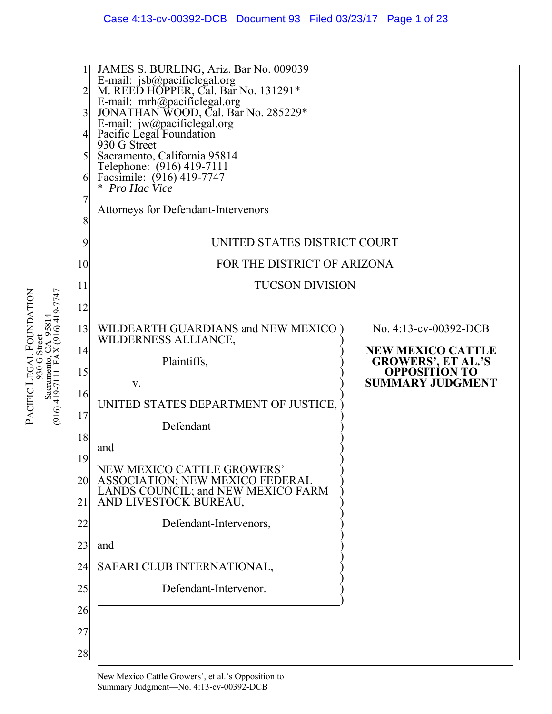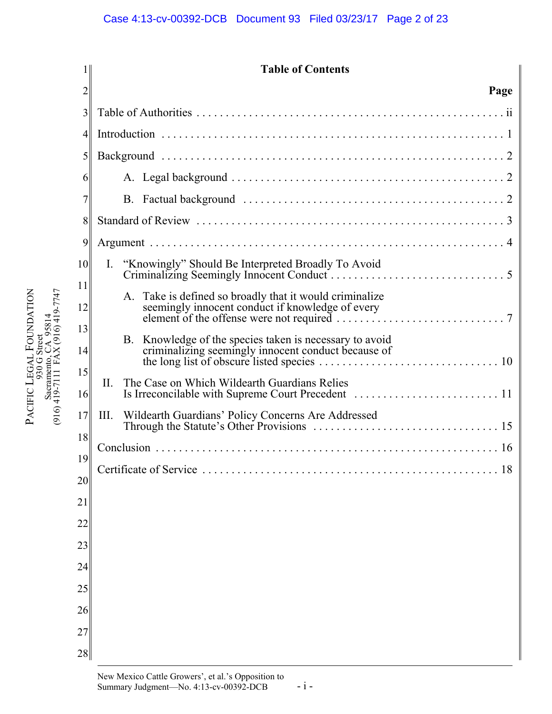|                |      | <b>Table of Contents</b>                                                                                                                                                                                       |
|----------------|------|----------------------------------------------------------------------------------------------------------------------------------------------------------------------------------------------------------------|
| 2              |      | Page                                                                                                                                                                                                           |
| 3              |      |                                                                                                                                                                                                                |
| $\overline{4}$ |      |                                                                                                                                                                                                                |
| 5              |      |                                                                                                                                                                                                                |
| 6              |      |                                                                                                                                                                                                                |
| 7              |      |                                                                                                                                                                                                                |
| 8              |      |                                                                                                                                                                                                                |
| 9              |      |                                                                                                                                                                                                                |
| 10             | Ι.   | "Knowingly" Should Be Interpreted Broadly To Avoid                                                                                                                                                             |
| 11<br>12       |      | Take is defined so broadly that it would criminalize<br>seemingly innocent conduct if knowledge of every<br>element of the offense were not required $\ldots \ldots \ldots \ldots \ldots \ldots \ldots \ldots$ |
| 13<br>14       | B.   | Knowledge of the species taken is necessary to avoid<br>criminalizing seemingly innocent conduct because of                                                                                                    |
| 15<br>16       | II.  | The Case on Which Wildearth Guardians Relies                                                                                                                                                                   |
| 17<br>18       | III. | Wildearth Guardians' Policy Concerns Are Addressed                                                                                                                                                             |
| 19             |      |                                                                                                                                                                                                                |
| 20             |      | Certificate of Service<br>18                                                                                                                                                                                   |
| 21             |      |                                                                                                                                                                                                                |
| 22             |      |                                                                                                                                                                                                                |
| 23             |      |                                                                                                                                                                                                                |
| 24             |      |                                                                                                                                                                                                                |
| 25             |      |                                                                                                                                                                                                                |
| 26             |      |                                                                                                                                                                                                                |
| 27             |      |                                                                                                                                                                                                                |
| 28             |      |                                                                                                                                                                                                                |

PACIFIC

LEGAL

930 G Street Sacramento, CA 95814 (916) 419-7111 FAX (916) 419-7747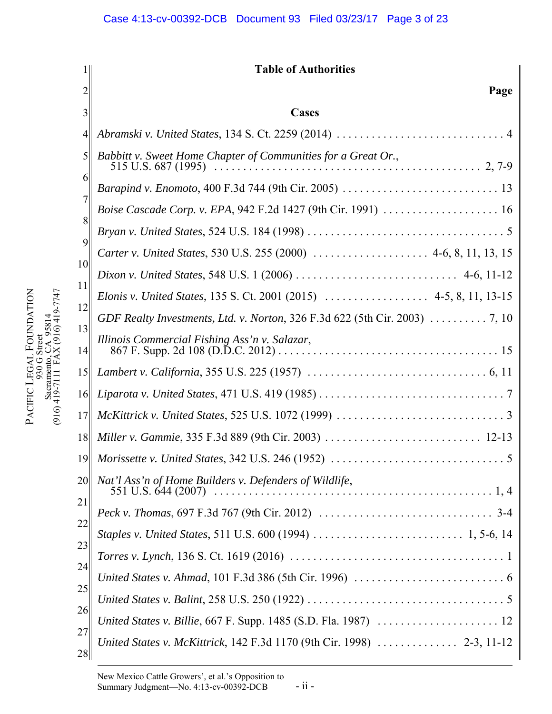|          | <b>Table of Authorities</b>                                                   |
|----------|-------------------------------------------------------------------------------|
| 2        | Page                                                                          |
| 3        | <b>Cases</b>                                                                  |
| 4        |                                                                               |
| 5        | Babbitt v. Sweet Home Chapter of Communities for a Great Or.,                 |
| 6        |                                                                               |
| 7        |                                                                               |
| 8        |                                                                               |
| 9        | Carter v. United States, 530 U.S. 255 (2000)  4-6, 8, 11, 13, 15              |
| 10       |                                                                               |
| 11       | Elonis v. United States, 135 S. Ct. 2001 (2015)  4-5, 8, 11, 13-15            |
| 12       | GDF Realty Investments, Ltd. v. Norton, 326 F.3d 622 (5th Cir. 2003) 7, 10    |
| 13<br>14 | Illinois Commercial Fishing Ass'n v. Salazar,                                 |
| 15       |                                                                               |
| 16       |                                                                               |
| 17       |                                                                               |
| 18       |                                                                               |
| 19       |                                                                               |
| 20       | Nat'l Ass'n of Home Builders v. Defenders of Wildlife,<br>551 U.S. 644 (2007) |
| 21       |                                                                               |
| 22       |                                                                               |
| 23       |                                                                               |
| 24       |                                                                               |
| 25       |                                                                               |
| 26       |                                                                               |
| 27<br>28 |                                                                               |

PACIFIC

LEGAL

930 G Street Sacramento, CA 95814 (916) 419-7111 FAX (916) 419-7747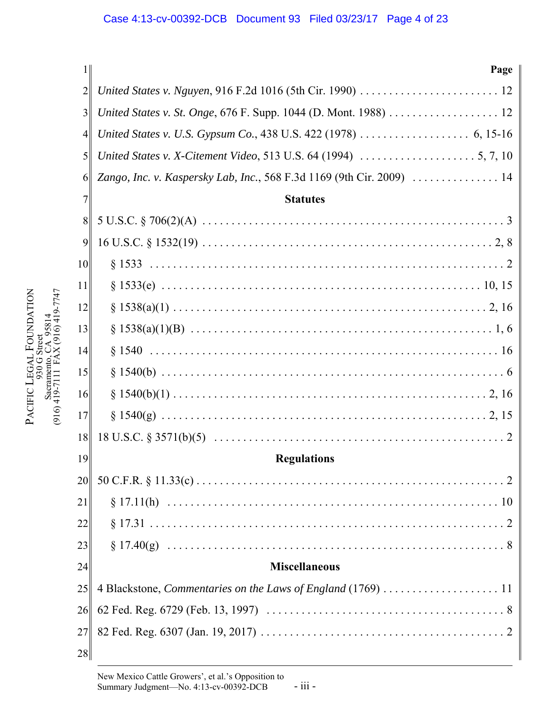| 1 <sup>1</sup> | Page                                                                  |
|----------------|-----------------------------------------------------------------------|
| $\overline{2}$ |                                                                       |
| 3              |                                                                       |
| $\overline{4}$ |                                                                       |
| 5              |                                                                       |
| 6              | Zango, Inc. v. Kaspersky Lab, Inc., 568 F.3d 1169 (9th Cir. 2009)  14 |
| 7              | <b>Statutes</b>                                                       |
| 8              |                                                                       |
| 9              |                                                                       |
| 10             |                                                                       |
| 11             |                                                                       |
| 12             |                                                                       |
| 13             |                                                                       |
| 14             |                                                                       |
| 15             |                                                                       |
| 16             |                                                                       |
| 17             |                                                                       |
| 18             |                                                                       |
| 19             | <b>Regulations</b>                                                    |
| 20             |                                                                       |
| 21             |                                                                       |
| 22             |                                                                       |
| 23             |                                                                       |
| 24             | <b>Miscellaneous</b>                                                  |
| 25             |                                                                       |
| 26             |                                                                       |
| 27             |                                                                       |
| 28             |                                                                       |

PACIFIC

LEGAL

930 G Street Sacramento, CA 95814 (916) 419-7111 FAX (916) 419-7747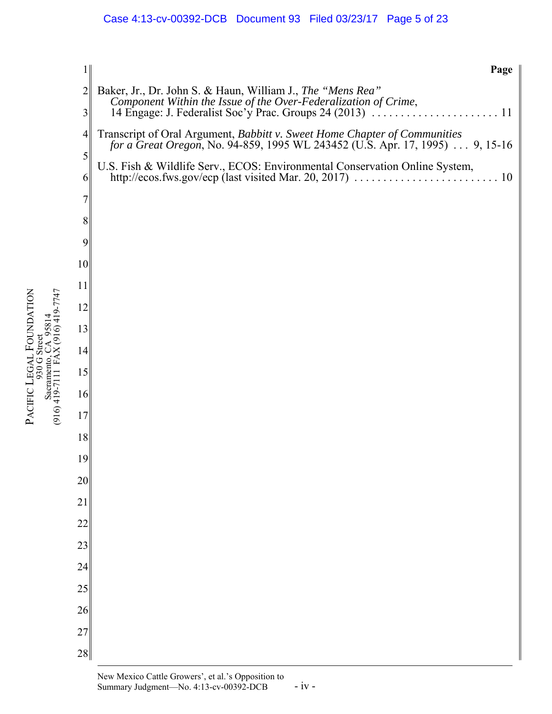# Case 4:13-cv-00392-DCB Document 93 Filed 03/23/17 Page 5 of 23

| 1                   | Page                                                                                                                                                             |
|---------------------|------------------------------------------------------------------------------------------------------------------------------------------------------------------|
| $\overline{2}$<br>3 | Baker, Jr., Dr. John S. & Haun, William J., The "Mens Rea"                                                                                                       |
| $\overline{4}$      | Transcript of Oral Argument, <i>Babbitt v. Sweet Home Chapter of Communities</i><br>for a Great Oregon, No. 94-859, 1995 WL 243452 (U.S. Apr. 17, 1995) 9, 15-16 |
| 5<br>6              | U.S. Fish & Wildlife Serv., ECOS: Environmental Conservation Online System,                                                                                      |
| $\overline{7}$      |                                                                                                                                                                  |
| 8                   |                                                                                                                                                                  |
| 9                   |                                                                                                                                                                  |
| 10                  |                                                                                                                                                                  |
| 11                  |                                                                                                                                                                  |
| 12                  |                                                                                                                                                                  |
| 13                  |                                                                                                                                                                  |
| 14                  |                                                                                                                                                                  |
| 15                  |                                                                                                                                                                  |
| 16                  |                                                                                                                                                                  |
| 17                  |                                                                                                                                                                  |
| 18                  |                                                                                                                                                                  |
| 19                  |                                                                                                                                                                  |
| $20\,$              |                                                                                                                                                                  |
| 21                  |                                                                                                                                                                  |
| 22                  |                                                                                                                                                                  |
| 23                  |                                                                                                                                                                  |
| 24                  |                                                                                                                                                                  |
| $25\,$              |                                                                                                                                                                  |
| 26                  |                                                                                                                                                                  |
| 27                  |                                                                                                                                                                  |
| 28                  |                                                                                                                                                                  |

PACIFIC

LEGAL

930 G Street Sacramento, CA 95814 (916) 419-7111 FAX (916) 419-7747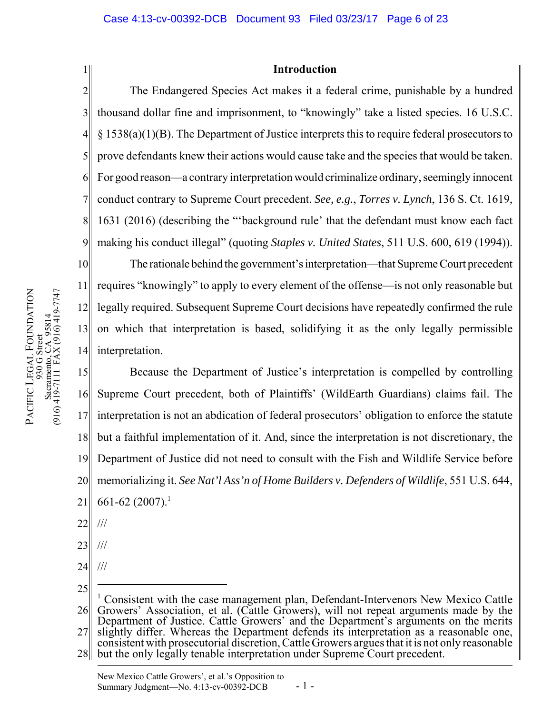1

# **Introduction**

2 3 4 5 6 7 8 9 The Endangered Species Act makes it a federal crime, punishable by a hundred thousand dollar fine and imprisonment, to "knowingly" take a listed species. 16 U.S.C. § 1538(a)(1)(B). The Department of Justice interprets this to require federal prosecutors to prove defendants knew their actions would cause take and the species that would be taken. For good reason—a contrary interpretation would criminalize ordinary, seemingly innocent conduct contrary to Supreme Court precedent. *See, e.g.*, *Torres v. Lynch*, 136 S. Ct. 1619, 1631 (2016) (describing the "'background rule' that the defendant must know each fact making his conduct illegal" (quoting *Staples v. United States*, 511 U.S. 600, 619 (1994)).

10 11 12 13 14 The rationale behind the government's interpretation—that Supreme Court precedent requires "knowingly" to apply to every element of the offense—is not only reasonable but legally required. Subsequent Supreme Court decisions have repeatedly confirmed the rule on which that interpretation is based, solidifying it as the only legally permissible interpretation.

15 16 17 18 19 20 21 Because the Department of Justice's interpretation is compelled by controlling Supreme Court precedent, both of Plaintiffs' (WildEarth Guardians) claims fail. The interpretation is not an abdication of federal prosecutors' obligation to enforce the statute but a faithful implementation of it. And, since the interpretation is not discretionary, the Department of Justice did not need to consult with the Fish and Wildlife Service before memorializing it. *See Nat'l Ass'n of Home Builders v. Defenders of Wildlife*, 551 U.S. 644, 661-62 (2007).<sup>1</sup>

22 ///

- 23 ///
- 24 ///
- 25

28 but the only legally tenable interpretation under Supreme Court precedent.

<sup>26</sup> <sup>1</sup> Consistent with the case management plan, Defendant-Intervenors New Mexico Cattle Growers' Association, et al. (Cattle Growers), will not repeat arguments made by the Department of Justice. Cattle Growers' and the Department's arguments on the merits

<sup>27</sup> slightly differ. Whereas the Department defends its interpretation as a reasonable one, consistent with prosecutorial discretion, Cattle Growers argues that it is not only reasonable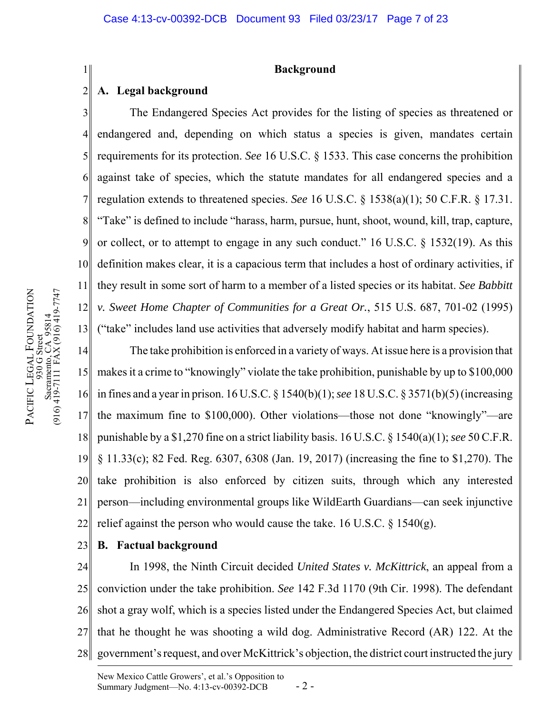## **Background**

#### 2 **A. Legal background**

1

3 4 5 6 7 8 9 10 11 12 13 The Endangered Species Act provides for the listing of species as threatened or endangered and, depending on which status a species is given, mandates certain requirements for its protection. *See* 16 U.S.C. § 1533. This case concerns the prohibition against take of species, which the statute mandates for all endangered species and a regulation extends to threatened species. *See* 16 U.S.C. § 1538(a)(1); 50 C.F.R. § 17.31. "Take" is defined to include "harass, harm, pursue, hunt, shoot, wound, kill, trap, capture, or collect, or to attempt to engage in any such conduct." 16 U.S.C. § 1532(19). As this definition makes clear, it is a capacious term that includes a host of ordinary activities, if they result in some sort of harm to a member of a listed species or its habitat. *See Babbitt v. Sweet Home Chapter of Communities for a Great Or.*, 515 U.S. 687, 701-02 (1995) ("take" includes land use activities that adversely modify habitat and harm species).

14 15 16 17 18 19 20 21 22 The take prohibition is enforced in a variety of ways. At issue here is a provision that makes it a crime to "knowingly" violate the take prohibition, punishable by up to \$100,000 in fines and a year in prison. 16 U.S.C. § 1540(b)(1); *see* 18 U.S.C. § 3571(b)(5) (increasing the maximum fine to \$100,000). Other violations—those not done "knowingly"—are punishable by a \$1,270 fine on a strict liability basis. 16 U.S.C. § 1540(a)(1); *see* 50 C.F.R. § 11.33(c); 82 Fed. Reg. 6307, 6308 (Jan. 19, 2017) (increasing the fine to \$1,270). The take prohibition is also enforced by citizen suits, through which any interested person—including environmental groups like WildEarth Guardians—can seek injunctive relief against the person who would cause the take. 16 U.S.C.  $\S$  1540(g).

23 **B. Factual background**

24 25 26 27 28 In 1998, the Ninth Circuit decided *United States v. McKittrick*, an appeal from a conviction under the take prohibition. *See* 142 F.3d 1170 (9th Cir. 1998). The defendant shot a gray wolf, which is a species listed under the Endangered Species Act, but claimed that he thought he was shooting a wild dog. Administrative Record (AR) 122. At the government's request, and over McKittrick's objection, the district court instructed the jury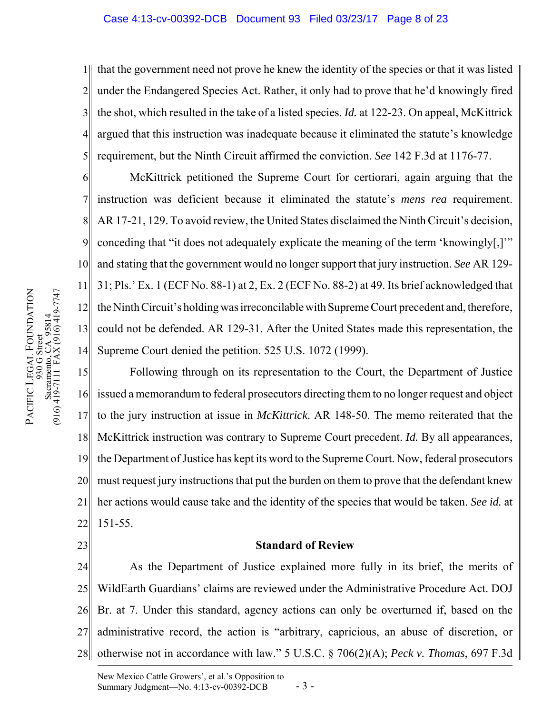### Case 4:13-cv-00392-DCB Document 93 Filed 03/23/17 Page 8 of 23

1 2 3 4 5 that the government need not prove he knew the identity of the species or that it was listed under the Endangered Species Act. Rather, it only had to prove that he'd knowingly fired the shot, which resulted in the take of a listed species. *Id.* at 122-23. On appeal, McKittrick argued that this instruction was inadequate because it eliminated the statute's knowledge requirement, but the Ninth Circuit affirmed the conviction. *See* 142 F.3d at 1176-77.

6 7 8 9 10 11 12 13 14 McKittrick petitioned the Supreme Court for certiorari, again arguing that the instruction was deficient because it eliminated the statute's *mens rea* requirement. AR 17-21, 129. To avoid review, the United States disclaimed the Ninth Circuit's decision, conceding that "it does not adequately explicate the meaning of the term 'knowingly[,]'" and stating that the government would no longer support that jury instruction. *See* AR 129- 31; Pls.' Ex. 1 (ECF No. 88-1) at 2, Ex. 2 (ECF No. 88-2) at 49. Its brief acknowledged that the Ninth Circuit's holding was irreconcilable with Supreme Court precedent and, therefore, could not be defended. AR 129-31. After the United States made this representation, the Supreme Court denied the petition. 525 U.S. 1072 (1999).

15 16 17 18 19 20 21 22 Following through on its representation to the Court, the Department of Justice issued a memorandum to federal prosecutors directing them to no longer request and object to the jury instruction at issue in *McKittrick*. AR 148-50. The memo reiterated that the McKittrick instruction was contrary to Supreme Court precedent. *Id.* By all appearances, the Department of Justice has kept its word to the Supreme Court. Now, federal prosecutors must request jury instructions that put the burden on them to prove that the defendant knew her actions would cause take and the identity of the species that would be taken. *See id.* at 151-55.

## **Standard of Review**

24 25 26 27 28 As the Department of Justice explained more fully in its brief, the merits of WildEarth Guardians' claims are reviewed under the Administrative Procedure Act. DOJ Br. at 7. Under this standard, agency actions can only be overturned if, based on the administrative record, the action is "arbitrary, capricious, an abuse of discretion, or otherwise not in accordance with law." 5 U.S.C. § 706(2)(A); *Peck v. Thomas*, 697 F.3d

23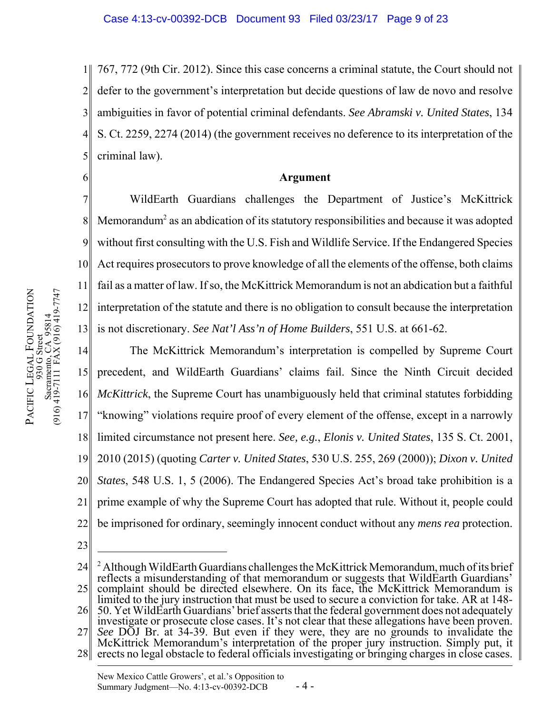1 2 3 4 5 767, 772 (9th Cir. 2012). Since this case concerns a criminal statute, the Court should not defer to the government's interpretation but decide questions of law de novo and resolve ambiguities in favor of potential criminal defendants. *See Abramski v. United States*, 134 S. Ct. 2259, 2274 (2014) (the government receives no deference to its interpretation of the criminal law).

6

# **Argument**

7 8 9 10 11 12 13 WildEarth Guardians challenges the Department of Justice's McKittrick Memorandum<sup>2</sup> as an abdication of its statutory responsibilities and because it was adopted without first consulting with the U.S. Fish and Wildlife Service. If the Endangered Species Act requires prosecutors to prove knowledge of all the elements of the offense, both claims fail as a matter of law. If so, the McKittrick Memorandum is not an abdication but a faithful interpretation of the statute and there is no obligation to consult because the interpretation is not discretionary. *See Nat'l Ass'n of Home Builders*, 551 U.S. at 661-62.

14 15 16 17 18 19 20 21 22 The McKittrick Memorandum's interpretation is compelled by Supreme Court precedent, and WildEarth Guardians' claims fail. Since the Ninth Circuit decided *McKittrick*, the Supreme Court has unambiguously held that criminal statutes forbidding "knowing" violations require proof of every element of the offense, except in a narrowly limited circumstance not present here. *See, e.g.*, *Elonis v. United States*, 135 S. Ct. 2001, 2010 (2015) (quoting *Carter v. United States*, 530 U.S. 255, 269 (2000)); *Dixon v. United States*, 548 U.S. 1, 5 (2006). The Endangered Species Act's broad take prohibition is a prime example of why the Supreme Court has adopted that rule. Without it, people could be imprisoned for ordinary, seemingly innocent conduct without any *mens rea* protection.

23

PACIFIC

LEGAL

930 G Street Sacramento, CA 95814 (916) 419-7111 FAX (916) 419-7747

Sacramento, CA 95814<br>(916) 419-7111 FAX (916) 419-7747  $930G$  Street

FOUNDATION

28 erects no legal obstacle to federal officials investigating or bringing charges in close cases.

<sup>24</sup> 25 <sup>2</sup> Although WildEarth Guardians challenges the McKittrick Memorandum, much of its brief reflects a misunderstanding of that memorandum or suggests that WildEarth Guardians' complaint should be directed elsewhere. On its face, the McKittrick Memorandum is

<sup>26</sup> limited to the jury instruction that must be used to secure a conviction for take. AR at 148- 50. Yet WildEarth Guardians' brief asserts that the federal government does not adequately

investigate or prosecute close cases. It's not clear that these allegations have been proven.

<sup>27</sup> *See* DOJ Br. at 34-39. But even if they were, they are no grounds to invalidate the McKittrick Memorandum's interpretation of the proper jury instruction. Simply put, it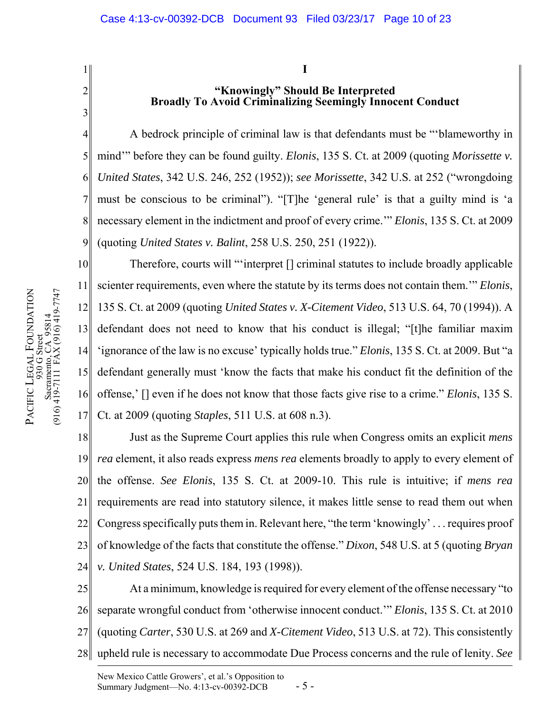1

2

3

**I**

# **"Knowingly" Should Be Interpreted Broadly To Avoid Criminalizing Seemingly Innocent Conduct**

4 5 6 7 8 9 A bedrock principle of criminal law is that defendants must be "'blameworthy in mind'" before they can be found guilty. *Elonis*, 135 S. Ct. at 2009 (quoting *Morissette v. United States*, 342 U.S. 246, 252 (1952)); *see Morissette*, 342 U.S. at 252 ("wrongdoing must be conscious to be criminal"). "[T]he 'general rule' is that a guilty mind is 'a necessary element in the indictment and proof of every crime.'" *Elonis*, 135 S. Ct. at 2009 (quoting *United States v. Balint*, 258 U.S. 250, 251 (1922)).

10 11 12 13 14 15 16 17 Therefore, courts will "'interpret [] criminal statutes to include broadly applicable scienter requirements, even where the statute by its terms does not contain them.'" *Elonis*, 135 S. Ct. at 2009 (quoting *United States v. X-Citement Video*, 513 U.S. 64, 70 (1994)). A defendant does not need to know that his conduct is illegal; "[t]he familiar maxim 'ignorance of the law is no excuse' typically holds true." *Elonis*, 135 S. Ct. at 2009. But "a defendant generally must 'know the facts that make his conduct fit the definition of the offense,' [] even if he does not know that those facts give rise to a crime." *Elonis*, 135 S. Ct. at 2009 (quoting *Staples*, 511 U.S. at 608 n.3).

18 19 20 21 22 23 24 Just as the Supreme Court applies this rule when Congress omits an explicit *mens rea* element, it also reads express *mens rea* elements broadly to apply to every element of the offense. *See Elonis*, 135 S. Ct. at 2009-10. This rule is intuitive; if *mens rea* requirements are read into statutory silence, it makes little sense to read them out when Congress specifically puts them in. Relevant here, "the term 'knowingly' . . . requires proof of knowledge of the facts that constitute the offense." *Dixon*, 548 U.S. at 5 (quoting *Bryan v. United States*, 524 U.S. 184, 193 (1998)).

25 26 27 28 At a minimum, knowledge is required for every element of the offense necessary "to separate wrongful conduct from 'otherwise innocent conduct.'" *Elonis*, 135 S. Ct. at 2010 (quoting *Carter*, 530 U.S. at 269 and *X-Citement Video*, 513 U.S. at 72). This consistently upheld rule is necessary to accommodate Due Process concerns and the rule of lenity. *See*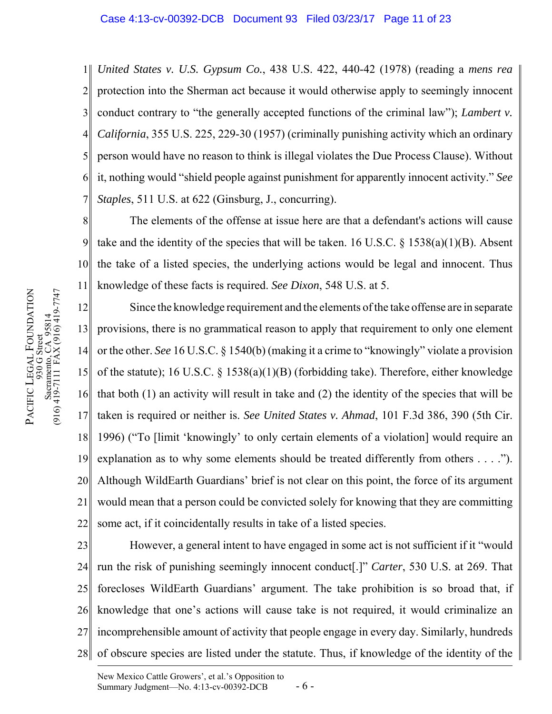1 2 3 4 5 6 7 *United States v. U.S. Gypsum Co.*, 438 U.S. 422, 440-42 (1978) (reading a *mens rea* protection into the Sherman act because it would otherwise apply to seemingly innocent conduct contrary to "the generally accepted functions of the criminal law"); *Lambert v. California*, 355 U.S. 225, 229-30 (1957) (criminally punishing activity which an ordinary person would have no reason to think is illegal violates the Due Process Clause). Without it, nothing would "shield people against punishment for apparently innocent activity." *See Staples*, 511 U.S. at 622 (Ginsburg, J., concurring).

8 9 10 11 The elements of the offense at issue here are that a defendant's actions will cause take and the identity of the species that will be taken. 16 U.S.C.  $\S$  1538(a)(1)(B). Absent the take of a listed species, the underlying actions would be legal and innocent. Thus knowledge of these facts is required. *See Dixon*, 548 U.S. at 5.

12 13 14 15 16 17 18 19 20 21 22 Since the knowledge requirement and the elements of the take offense are in separate provisions, there is no grammatical reason to apply that requirement to only one element or the other. *See* 16 U.S.C. § 1540(b) (making it a crime to "knowingly" violate a provision of the statute); 16 U.S.C. § 1538(a)(1)(B) (forbidding take). Therefore, either knowledge that both (1) an activity will result in take and (2) the identity of the species that will be taken is required or neither is. *See United States v. Ahmad*, 101 F.3d 386, 390 (5th Cir. 1996) ("To [limit 'knowingly' to only certain elements of a violation] would require an explanation as to why some elements should be treated differently from others . . . ."). Although WildEarth Guardians' brief is not clear on this point, the force of its argument would mean that a person could be convicted solely for knowing that they are committing some act, if it coincidentally results in take of a listed species.

23 24 25 26 27 28 However, a general intent to have engaged in some act is not sufficient if it "would run the risk of punishing seemingly innocent conduct[.]" *Carter*, 530 U.S. at 269. That forecloses WildEarth Guardians' argument. The take prohibition is so broad that, if knowledge that one's actions will cause take is not required, it would criminalize an incomprehensible amount of activity that people engage in every day. Similarly, hundreds of obscure species are listed under the statute. Thus, if knowledge of the identity of the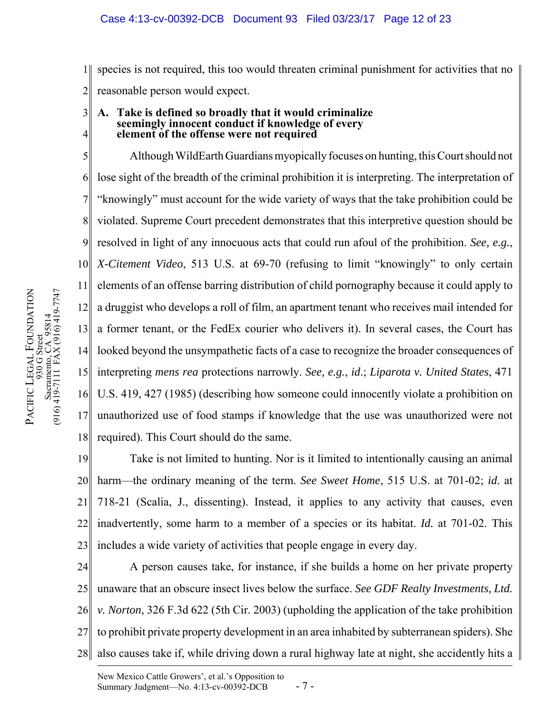1 2 species is not required, this too would threaten criminal punishment for activities that no reasonable person would expect.

#### 3 4 **A. Take is defined so broadly that it would criminalize seemingly innocent conduct if knowledge of every element of the offense were not required**

5 6 7 8 9 10 11 12 13 14 15 16 17 18 Although WildEarth Guardians myopically focuses on hunting, this Court should not lose sight of the breadth of the criminal prohibition it is interpreting. The interpretation of "knowingly" must account for the wide variety of ways that the take prohibition could be violated. Supreme Court precedent demonstrates that this interpretive question should be resolved in light of any innocuous acts that could run afoul of the prohibition. *See, e.g.*, *X-Citement Video*, 513 U.S. at 69-70 (refusing to limit "knowingly" to only certain elements of an offense barring distribution of child pornography because it could apply to a druggist who develops a roll of film, an apartment tenant who receives mail intended for a former tenant, or the FedEx courier who delivers it). In several cases, the Court has looked beyond the unsympathetic facts of a case to recognize the broader consequences of interpreting *mens rea* protections narrowly. *See, e.g.*, *id*.; *Liparota v. United States*, 471 U.S. 419, 427 (1985) (describing how someone could innocently violate a prohibition on unauthorized use of food stamps if knowledge that the use was unauthorized were not required). This Court should do the same.

19 20 21 22 23 Take is not limited to hunting. Nor is it limited to intentionally causing an animal harm—the ordinary meaning of the term. *See Sweet Home*, 515 U.S. at 701-02; *id*. at 718-21 (Scalia, J., dissenting). Instead, it applies to any activity that causes, even inadvertently, some harm to a member of a species or its habitat. *Id.* at 701-02. This includes a wide variety of activities that people engage in every day.

24 25 26 27 28 A person causes take, for instance, if she builds a home on her private property unaware that an obscure insect lives below the surface. *See GDF Realty Investments, Ltd. v. Norton*, 326 F.3d 622 (5th Cir. 2003) (upholding the application of the take prohibition to prohibit private property development in an area inhabited by subterranean spiders). She also causes take if, while driving down a rural highway late at night, she accidently hits a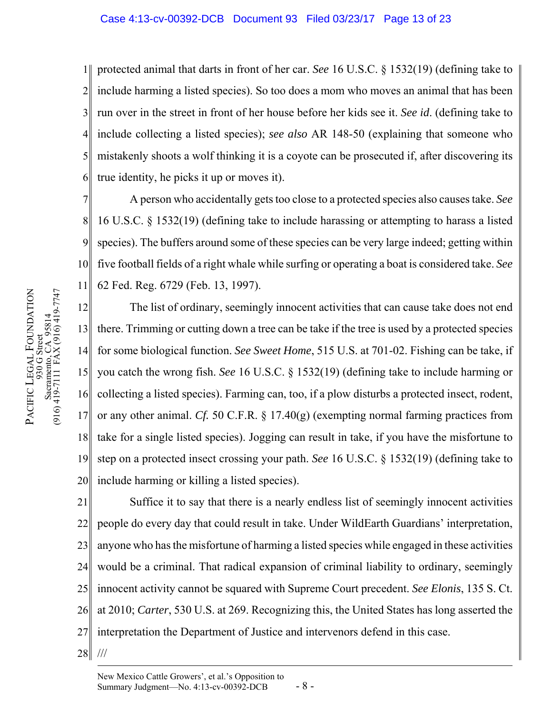## Case 4:13-cv-00392-DCB Document 93 Filed 03/23/17 Page 13 of 23

1 2 3 4 5 6 protected animal that darts in front of her car. *See* 16 U.S.C. § 1532(19) (defining take to include harming a listed species). So too does a mom who moves an animal that has been run over in the street in front of her house before her kids see it. *See id*. (defining take to include collecting a listed species); *see also* AR 148-50 (explaining that someone who mistakenly shoots a wolf thinking it is a coyote can be prosecuted if, after discovering its true identity, he picks it up or moves it).

7 8 9 10 11 A person who accidentally gets too close to a protected species also causes take. *See* 16 U.S.C. § 1532(19) (defining take to include harassing or attempting to harass a listed species). The buffers around some of these species can be very large indeed; getting within five football fields of a right whale while surfing or operating a boat is considered take. *See* 62 Fed. Reg. 6729 (Feb. 13, 1997).

12 13 14 15 16 17 18 19 20 The list of ordinary, seemingly innocent activities that can cause take does not end there. Trimming or cutting down a tree can be take if the tree is used by a protected species for some biological function. *See Sweet Home*, 515 U.S. at 701-02. Fishing can be take, if you catch the wrong fish. *See* 16 U.S.C. § 1532(19) (defining take to include harming or collecting a listed species). Farming can, too, if a plow disturbs a protected insect, rodent, or any other animal. *Cf.* 50 C.F.R. § 17.40(g) (exempting normal farming practices from take for a single listed species). Jogging can result in take, if you have the misfortune to step on a protected insect crossing your path. *See* 16 U.S.C. § 1532(19) (defining take to include harming or killing a listed species).

21 22 23 24 25 26 27 Suffice it to say that there is a nearly endless list of seemingly innocent activities people do every day that could result in take. Under WildEarth Guardians' interpretation, anyone who has the misfortune of harming a listed species while engaged in these activities would be a criminal. That radical expansion of criminal liability to ordinary, seemingly innocent activity cannot be squared with Supreme Court precedent. *See Elonis*, 135 S. Ct. at 2010; *Carter*, 530 U.S. at 269. Recognizing this, the United States has long asserted the interpretation the Department of Justice and intervenors defend in this case.

28 ///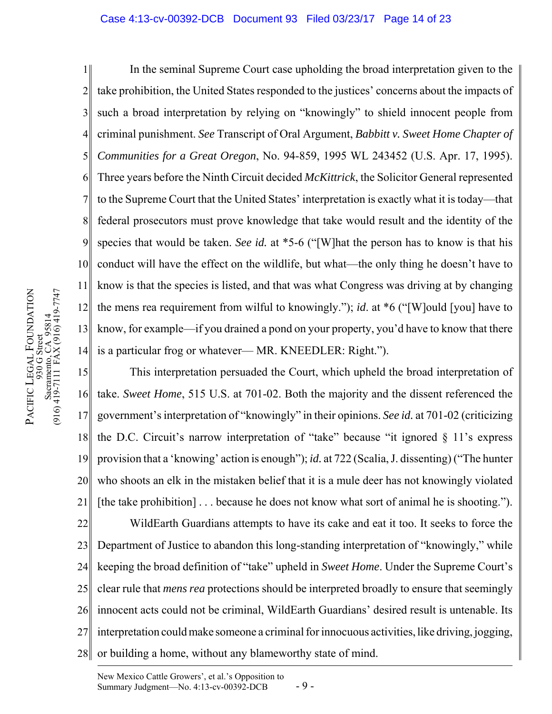### Case 4:13-cv-00392-DCB Document 93 Filed 03/23/17 Page 14 of 23

1 2 3 4 5 6 7 8 9 10 11 12 13 14 In the seminal Supreme Court case upholding the broad interpretation given to the take prohibition, the United States responded to the justices' concerns about the impacts of such a broad interpretation by relying on "knowingly" to shield innocent people from criminal punishment. *See* Transcript of Oral Argument, *Babbitt v. Sweet Home Chapter of Communities for a Great Oregon*, No. 94-859, 1995 WL 243452 (U.S. Apr. 17, 1995). Three years before the Ninth Circuit decided *McKittrick*, the Solicitor General represented to the Supreme Court that the United States' interpretation is exactly what it is today—that federal prosecutors must prove knowledge that take would result and the identity of the species that would be taken. *See id.* at \*5-6 ("[W]hat the person has to know is that his conduct will have the effect on the wildlife, but what—the only thing he doesn't have to know is that the species is listed, and that was what Congress was driving at by changing the mens rea requirement from wilful to knowingly."); *id*. at \*6 ("[W]ould [you] have to know, for example—if you drained a pond on your property, you'd have to know that there is a particular frog or whatever— MR. KNEEDLER: Right.").

15 16 17 18 19 20 21 22 23 24 25 26 27 28 This interpretation persuaded the Court, which upheld the broad interpretation of take. *Sweet Home*, 515 U.S. at 701-02. Both the majority and the dissent referenced the government's interpretation of "knowingly" in their opinions. *See id.* at 701-02 (criticizing the D.C. Circuit's narrow interpretation of "take" because "it ignored  $\S$  11's express provision that a 'knowing' action is enough"); *id.* at 722 (Scalia, J. dissenting) ("The hunter who shoots an elk in the mistaken belief that it is a mule deer has not knowingly violated [the take prohibition] . . . because he does not know what sort of animal he is shooting."). WildEarth Guardians attempts to have its cake and eat it too. It seeks to force the Department of Justice to abandon this long-standing interpretation of "knowingly," while keeping the broad definition of "take" upheld in *Sweet Home*. Under the Supreme Court's clear rule that *mens rea* protections should be interpreted broadly to ensure that seemingly innocent acts could not be criminal, WildEarth Guardians' desired result is untenable. Its interpretation could make someone a criminal for innocuous activities, like driving, jogging, or building a home, without any blameworthy state of mind.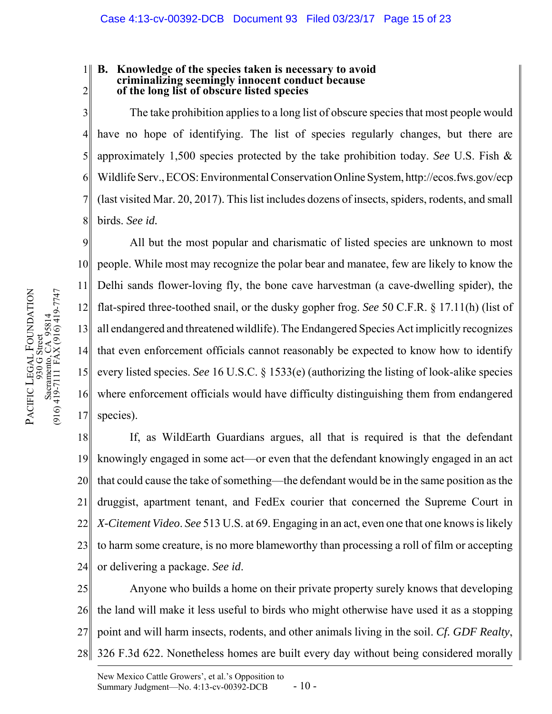#### 1 2 **B. Knowledge of the species taken is necessary to avoid criminalizing seemingly innocent conduct because of the long list of obscure listed species**

3 4 5 6 7 8 The take prohibition applies to a long list of obscure species that most people would have no hope of identifying. The list of species regularly changes, but there are approximately 1,500 species protected by the take prohibition today. *See* U.S. Fish & Wildlife Serv., ECOS: Environmental Conservation Online System, http://ecos.fws.gov/ecp (last visited Mar. 20, 2017). This list includes dozens of insects, spiders, rodents, and small birds. *See id.*

9 10 11 12 13 14 15 16 17 All but the most popular and charismatic of listed species are unknown to most people. While most may recognize the polar bear and manatee, few are likely to know the Delhi sands flower-loving fly, the bone cave harvestman (a cave-dwelling spider), the flat-spired three-toothed snail, or the dusky gopher frog. *See* 50 C.F.R. § 17.11(h) (list of all endangered and threatened wildlife). The Endangered Species Act implicitly recognizes that even enforcement officials cannot reasonably be expected to know how to identify every listed species. *See* 16 U.S.C. § 1533(e) (authorizing the listing of look-alike species where enforcement officials would have difficulty distinguishing them from endangered species).

18 19 20 21 22 23 24 If, as WildEarth Guardians argues, all that is required is that the defendant knowingly engaged in some act—or even that the defendant knowingly engaged in an act that could cause the take of something—the defendant would be in the same position as the druggist, apartment tenant, and FedEx courier that concerned the Supreme Court in *X-Citement Video*. *See* 513 U.S. at 69. Engaging in an act, even one that one knows is likely to harm some creature, is no more blameworthy than processing a roll of film or accepting or delivering a package. *See id*.

25 26 27 28 Anyone who builds a home on their private property surely knows that developing the land will make it less useful to birds who might otherwise have used it as a stopping point and will harm insects, rodents, and other animals living in the soil. *Cf. GDF Realty*, 326 F.3d 622. Nonetheless homes are built every day without being considered morally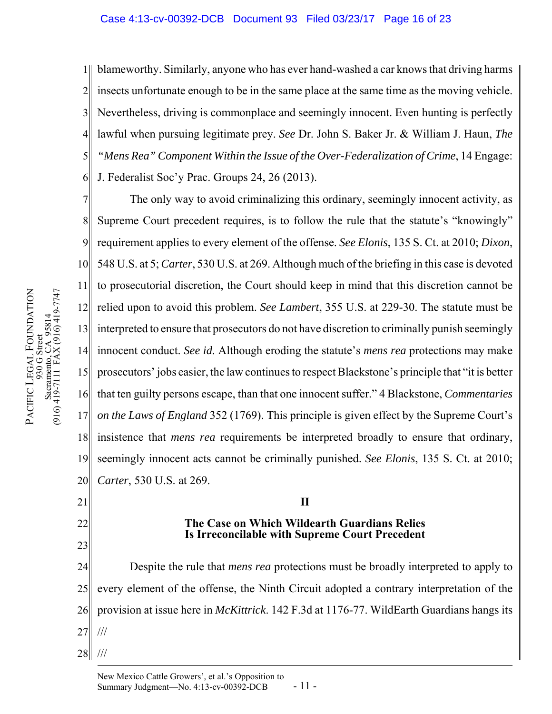## Case 4:13-cv-00392-DCB Document 93 Filed 03/23/17 Page 16 of 23

1 2 3 4 5 6 blameworthy. Similarly, anyone who has ever hand-washed a car knows that driving harms insects unfortunate enough to be in the same place at the same time as the moving vehicle. Nevertheless, driving is commonplace and seemingly innocent. Even hunting is perfectly lawful when pursuing legitimate prey. *See* Dr. John S. Baker Jr. & William J. Haun, *The "Mens Rea" Component Within the Issue of the Over-Federalization of Crime*, 14 Engage: J. Federalist Soc'y Prac. Groups 24, 26 (2013).

7 8 9 10 11 12 13 14 15 16 17 18 19 20 The only way to avoid criminalizing this ordinary, seemingly innocent activity, as Supreme Court precedent requires, is to follow the rule that the statute's "knowingly" requirement applies to every element of the offense. *See Elonis*, 135 S. Ct. at 2010; *Dixon*, 548 U.S. at 5; *Carter*, 530 U.S. at 269. Although much of the briefing in this case is devoted to prosecutorial discretion, the Court should keep in mind that this discretion cannot be relied upon to avoid this problem. *See Lambert*, 355 U.S. at 229-30. The statute must be interpreted to ensure that prosecutors do not have discretion to criminally punish seemingly innocent conduct. *See id.* Although eroding the statute's *mens rea* protections may make prosecutors' jobs easier, the law continues to respect Blackstone's principle that "it is better that ten guilty persons escape, than that one innocent suffer." 4 Blackstone, *Commentaries on the Laws of England* 352 (1769). This principle is given effect by the Supreme Court's insistence that *mens rea* requirements be interpreted broadly to ensure that ordinary, seemingly innocent acts cannot be criminally punished. *See Elonis*, 135 S. Ct. at 2010; *Carter*, 530 U.S. at 269.

- 21
- 22
- 23

**The Case on Which Wildearth Guardians Relies Is Irreconcilable with Supreme Court Precedent**

**II**

24 25 26 27 Despite the rule that *mens rea* protections must be broadly interpreted to apply to every element of the offense, the Ninth Circuit adopted a contrary interpretation of the provision at issue here in *McKittrick*. 142 F.3d at 1176-77. WildEarth Guardians hangs its ///

28 ///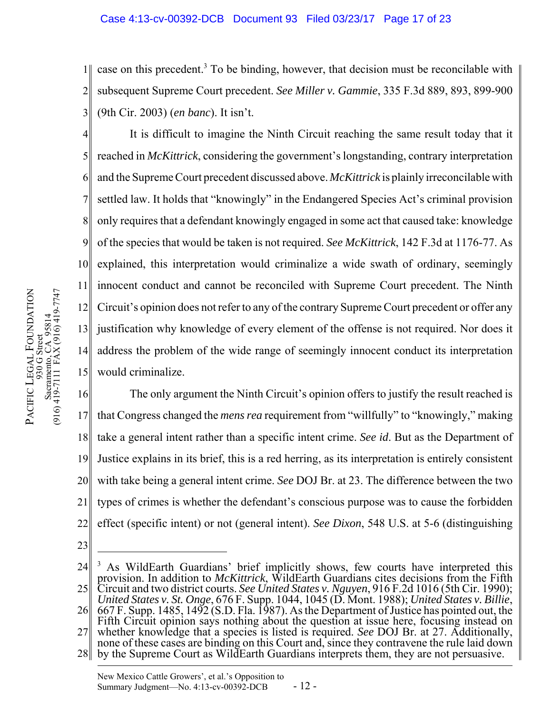## Case 4:13-cv-00392-DCB Document 93 Filed 03/23/17 Page 17 of 23

1 2 3 case on this precedent.<sup>3</sup> To be binding, however, that decision must be reconcilable with subsequent Supreme Court precedent. *See Miller v. Gammie*, 335 F.3d 889, 893, 899-900 (9th Cir. 2003) (*en banc*). It isn't.

4 5 6 7 8 9 10 11 12 13 14 15 It is difficult to imagine the Ninth Circuit reaching the same result today that it reached in *McKittrick*, considering the government's longstanding, contrary interpretation and the Supreme Court precedent discussed above. *McKittrick* is plainly irreconcilable with settled law. It holds that "knowingly" in the Endangered Species Act's criminal provision only requires that a defendant knowingly engaged in some act that caused take: knowledge of the species that would be taken is not required. *See McKittrick*, 142 F.3d at 1176-77. As explained, this interpretation would criminalize a wide swath of ordinary, seemingly innocent conduct and cannot be reconciled with Supreme Court precedent. The Ninth Circuit's opinion does not refer to any of the contrary Supreme Court precedent or offer any justification why knowledge of every element of the offense is not required. Nor does it address the problem of the wide range of seemingly innocent conduct its interpretation would criminalize.

16 17 18 19 20 21 22 The only argument the Ninth Circuit's opinion offers to justify the result reached is that Congress changed the *mens rea* requirement from "willfully" to "knowingly," making take a general intent rather than a specific intent crime. *See id*. But as the Department of Justice explains in its brief, this is a red herring, as its interpretation is entirely consistent with take being a general intent crime. *See* DOJ Br. at 23. The difference between the two types of crimes is whether the defendant's conscious purpose was to cause the forbidden effect (specific intent) or not (general intent). *See Dixon*, 548 U.S. at 5-6 (distinguishing

23

28 by the Supreme Court as WildEarth Guardians interprets them, they are not persuasive. none of these cases are binding on this Court and, since they contravene the rule laid down

<sup>24</sup> 25 <sup>3</sup> As WildEarth Guardians' brief implicitly shows, few courts have interpreted this provision. In addition to *McKittrick*, WildEarth Guardians cites decisions from the Fifth Circuit and two district courts. *See United States v. Nguyen*, 916 F.2d 1016 (5th Cir. 1990);

<sup>26</sup>  $\,$  667 F. Supp. 1485, 1492 (S.D. Fla. 1987). As the Department of Justice has pointed out, the *United States v. St. Onge*, 676 F. Supp. 1044, 1045 (D. Mont. 1988); *United States v. Billie*,

<sup>27</sup> Fifth Circuit opinion says nothing about the question at issue here, focusing instead on whether knowledge that a species is listed is required. *See* DOJ Br. at 27. Additionally,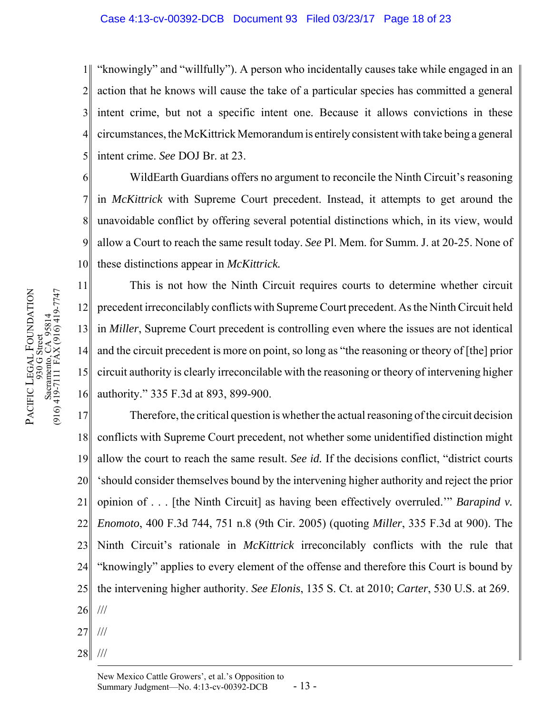1 2 3 4 5 "knowingly" and "willfully"). A person who incidentally causes take while engaged in an action that he knows will cause the take of a particular species has committed a general intent crime, but not a specific intent one. Because it allows convictions in these circumstances, the McKittrick Memorandum is entirely consistent with take being a general intent crime. *See* DOJ Br. at 23.

6 7 8 9 10 WildEarth Guardians offers no argument to reconcile the Ninth Circuit's reasoning in *McKittrick* with Supreme Court precedent. Instead, it attempts to get around the unavoidable conflict by offering several potential distinctions which, in its view, would allow a Court to reach the same result today. *See* Pl. Mem. for Summ. J. at 20-25. None of these distinctions appear in *McKittrick.*

11 12 13 14 15 16 This is not how the Ninth Circuit requires courts to determine whether circuit precedent irreconcilably conflicts with Supreme Court precedent. As the Ninth Circuit held in *Miller*, Supreme Court precedent is controlling even where the issues are not identical and the circuit precedent is more on point, so long as "the reasoning or theory of [the] prior circuit authority is clearly irreconcilable with the reasoning or theory of intervening higher authority." 335 F.3d at 893, 899-900.

17 18 19 20 21 22 23 24 25 26 Therefore, the critical question is whether the actual reasoning of the circuit decision conflicts with Supreme Court precedent, not whether some unidentified distinction might allow the court to reach the same result. *See id.* If the decisions conflict, "district courts 'should consider themselves bound by the intervening higher authority and reject the prior opinion of . . . [the Ninth Circuit] as having been effectively overruled.'" *Barapind v. Enomoto*, 400 F.3d 744, 751 n.8 (9th Cir. 2005) (quoting *Miller*, 335 F.3d at 900). The Ninth Circuit's rationale in *McKittrick* irreconcilably conflicts with the rule that "knowingly" applies to every element of the offense and therefore this Court is bound by the intervening higher authority. *See Elonis*, 135 S. Ct. at 2010; *Carter*, 530 U.S. at 269. ///

- 27 ///
- 28 ///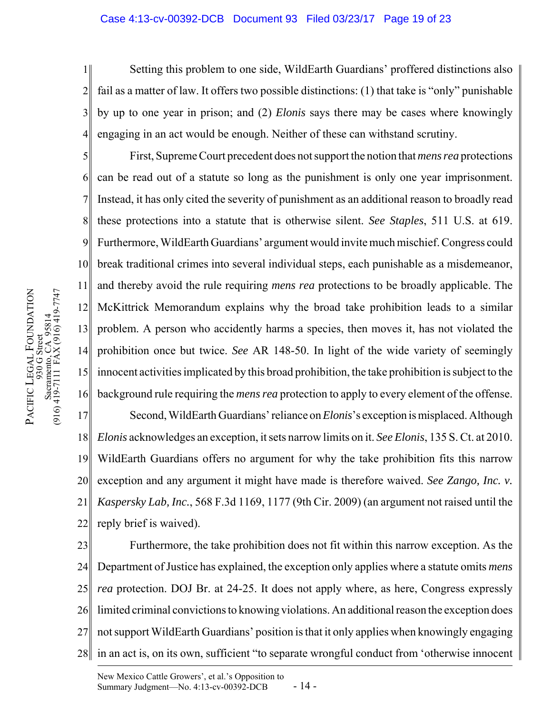### Case 4:13-cv-00392-DCB Document 93 Filed 03/23/17 Page 19 of 23

1 2 3 4 Setting this problem to one side, WildEarth Guardians' proffered distinctions also fail as a matter of law. It offers two possible distinctions: (1) that take is "only" punishable by up to one year in prison; and (2) *Elonis* says there may be cases where knowingly engaging in an act would be enough. Neither of these can withstand scrutiny.

5 6 7 8 9 10 11 12 13 14 15 16 First, Supreme Court precedent does not support the notion that *mens rea* protections can be read out of a statute so long as the punishment is only one year imprisonment. Instead, it has only cited the severity of punishment as an additional reason to broadly read these protections into a statute that is otherwise silent. *See Staples*, 511 U.S. at 619. Furthermore, WildEarth Guardians' argument would invite much mischief. Congress could break traditional crimes into several individual steps, each punishable as a misdemeanor, and thereby avoid the rule requiring *mens rea* protections to be broadly applicable. The McKittrick Memorandum explains why the broad take prohibition leads to a similar problem. A person who accidently harms a species, then moves it, has not violated the prohibition once but twice. *See* AR 148-50. In light of the wide variety of seemingly innocent activities implicated by this broad prohibition, the take prohibition is subject to the background rule requiring the *mens rea* protection to apply to every element of the offense.

17 18 19 20 21 22 Second, WildEarth Guardians' reliance on *Elonis*'s exception is misplaced. Although *Elonis* acknowledges an exception, it sets narrow limits on it. *See Elonis*, 135 S. Ct. at 2010. WildEarth Guardians offers no argument for why the take prohibition fits this narrow exception and any argument it might have made is therefore waived. *See Zango, Inc. v. Kaspersky Lab, Inc.*, 568 F.3d 1169, 1177 (9th Cir. 2009) (an argument not raised until the reply brief is waived).

23 24 25 26 27 28 Furthermore, the take prohibition does not fit within this narrow exception. As the Department of Justice has explained, the exception only applies where a statute omits *mens rea* protection. DOJ Br. at 24-25. It does not apply where, as here, Congress expressly limited criminal convictions to knowing violations. An additional reason the exception does not support WildEarth Guardians' position is that it only applies when knowingly engaging in an act is, on its own, sufficient "to separate wrongful conduct from 'otherwise innocent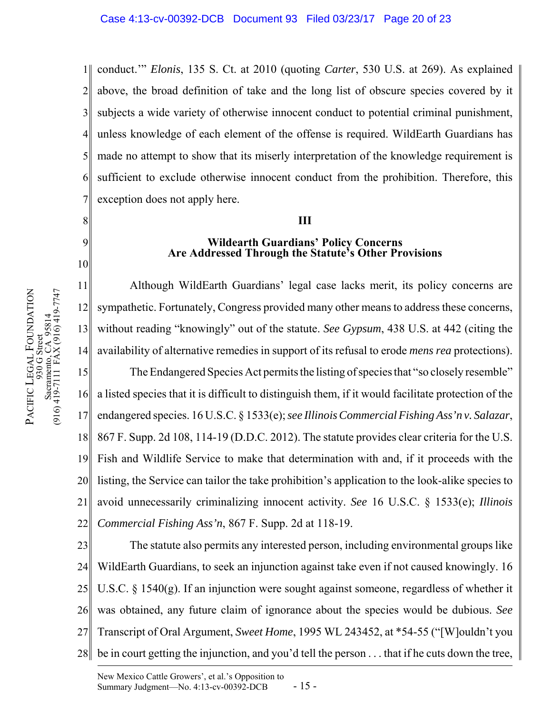1 2 3 4 5 6 7 conduct.'" *Elonis*, 135 S. Ct. at 2010 (quoting *Carter*, 530 U.S. at 269). As explained above, the broad definition of take and the long list of obscure species covered by it subjects a wide variety of otherwise innocent conduct to potential criminal punishment, unless knowledge of each element of the offense is required. WildEarth Guardians has made no attempt to show that its miserly interpretation of the knowledge requirement is sufficient to exclude otherwise innocent conduct from the prohibition. Therefore, this exception does not apply here.

# **III**

# **Wildearth Guardians' Policy Concerns Are Addressed Through the Statute's Other Provisions**

11 12 13 14 15 16 17 18 19 20 21 22 Although WildEarth Guardians' legal case lacks merit, its policy concerns are sympathetic. Fortunately, Congress provided many other means to address these concerns, without reading "knowingly" out of the statute. *See Gypsum*, 438 U.S. at 442 (citing the availability of alternative remedies in support of its refusal to erode *mens rea* protections). The Endangered Species Act permits the listing of species that "so closely resemble" a listed species that it is difficult to distinguish them, if it would facilitate protection of the endangered species. 16 U.S.C. § 1533(e); *see Illinois Commercial Fishing Ass'n v. Salazar*, 867 F. Supp. 2d 108, 114-19 (D.D.C. 2012). The statute provides clear criteria for the U.S. Fish and Wildlife Service to make that determination with and, if it proceeds with the listing, the Service can tailor the take prohibition's application to the look-alike species to avoid unnecessarily criminalizing innocent activity. *See* 16 U.S.C. § 1533(e); *Illinois Commercial Fishing Ass'n*, 867 F. Supp. 2d at 118-19.

23 24 25 26 27 28 The statute also permits any interested person, including environmental groups like WildEarth Guardians, to seek an injunction against take even if not caused knowingly. 16 U.S.C. § 1540(g). If an injunction were sought against someone, regardless of whether it was obtained, any future claim of ignorance about the species would be dubious. *See* Transcript of Oral Argument, *Sweet Home*, 1995 WL 243452, at \*54-55 ("[W]ouldn't you be in court getting the injunction, and you'd tell the person . . . that if he cuts down the tree,

8

9

10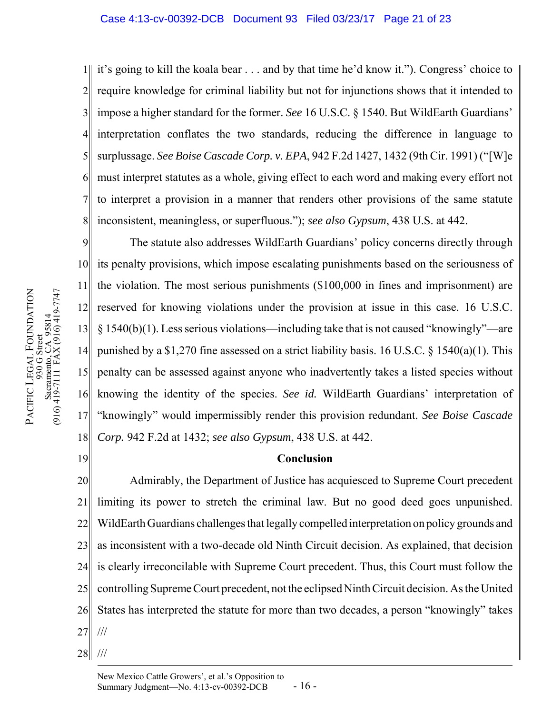### Case 4:13-cv-00392-DCB Document 93 Filed 03/23/17 Page 21 of 23

1 2 3 4 5 6 7 8 it's going to kill the koala bear . . . and by that time he'd know it."). Congress' choice to require knowledge for criminal liability but not for injunctions shows that it intended to impose a higher standard for the former. *See* 16 U.S.C. § 1540. But WildEarth Guardians' interpretation conflates the two standards, reducing the difference in language to surplussage. *See Boise Cascade Corp. v. EPA*, 942 F.2d 1427, 1432 (9th Cir. 1991) ("[W]e must interpret statutes as a whole, giving effect to each word and making every effort not to interpret a provision in a manner that renders other provisions of the same statute inconsistent, meaningless, or superfluous."); *see also Gypsum*, 438 U.S. at 442.

9 10 11 12 13 14 15 16 17 18 The statute also addresses WildEarth Guardians' policy concerns directly through its penalty provisions, which impose escalating punishments based on the seriousness of the violation. The most serious punishments (\$100,000 in fines and imprisonment) are reserved for knowing violations under the provision at issue in this case. 16 U.S.C.  $\S 1540(b)(1)$ . Less serious violations—including take that is not caused "knowingly"—are punished by a \$1,270 fine assessed on a strict liability basis. 16 U.S.C. § 1540(a)(1). This penalty can be assessed against anyone who inadvertently takes a listed species without knowing the identity of the species. *See id.* WildEarth Guardians' interpretation of "knowingly" would impermissibly render this provision redundant. *See Boise Cascade Corp.* 942 F.2d at 1432; *see also Gypsum*, 438 U.S. at 442.

# **Conclusion**

20 21 22 23 24 25 26 27 Admirably, the Department of Justice has acquiesced to Supreme Court precedent limiting its power to stretch the criminal law. But no good deed goes unpunished. WildEarth Guardians challenges that legally compelled interpretation on policy grounds and as inconsistent with a two-decade old Ninth Circuit decision. As explained, that decision is clearly irreconcilable with Supreme Court precedent. Thus, this Court must follow the controlling Supreme Court precedent, not the eclipsed Ninth Circuit decision. As the United States has interpreted the statute for more than two decades, a person "knowingly" takes ///

28 ///

19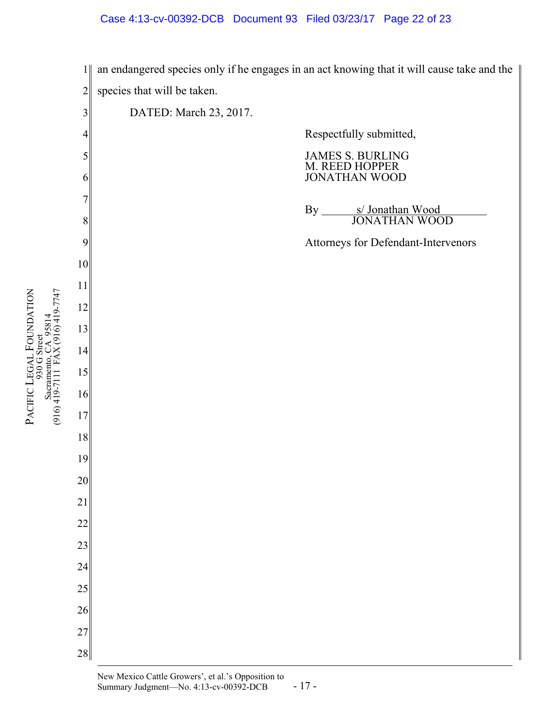## Case 4:13-cv-00392-DCB Document 93 Filed 03/23/17 Page 22 of 23



PACIFIC

LEGAL

930 G Street Sacramento, CA 95814